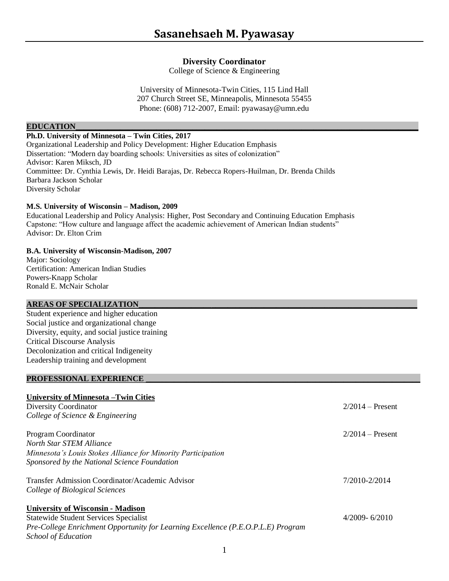# **Diversity Coordinator**

College of Science & Engineering

University of Minnesota-Twin Cities, 115 Lind Hall 207 Church Street SE, Minneapolis, Minnesota 55455 Phone: (608) 712-2007, Email: pyawasay@umn.edu

## **EDUCATION\_\_\_\_\_\_\_\_\_\_\_\_\_\_\_\_\_\_\_\_\_\_\_\_\_\_\_\_\_\_\_\_\_\_\_\_\_\_\_\_\_\_\_\_\_\_\_\_\_\_\_\_\_\_\_\_\_\_\_\_\_\_\_\_\_\_\_\_\_\_\_\_\_\_\_\_\_\_\_\_\_\_\_\_\_**

i

# **Ph.D. University of Minnesota – Twin Cities, 2017**

Organizational Leadership and Policy Development: Higher Education Emphasis Dissertation: "Modern day boarding schools: Universities as sites of colonization" Advisor: Karen Miksch, JD Committee: Dr. Cynthia Lewis, Dr. Heidi Barajas, Dr. Rebecca Ropers-Huilman, Dr. Brenda Childs Barbara Jackson Scholar Diversity Scholar

## **M.S. University of Wisconsin – Madison, 2009**

Educational Leadership and Policy Analysis: Higher, Post Secondary and Continuing Education Emphasis Capstone: "How culture and language affect the academic achievement of American Indian students" Advisor: Dr. Elton Crim

## **B.A. University of Wisconsin-Madison, 2007**

Major: Sociology Certification: American Indian Studies Powers-Knapp Scholar Ronald E. McNair Scholar

# **AREAS OF SPECIALIZATION\_\_\_\_\_\_\_\_\_\_\_\_\_\_\_\_\_\_\_\_\_\_\_\_\_\_\_\_\_\_\_\_\_\_\_\_\_\_\_\_\_\_\_\_\_\_\_\_\_\_\_\_\_\_\_\_\_\_\_\_\_\_\_\_\_\_\_\_\_**

Student experience and higher education Social justice and organizational change Diversity, equity, and social justice training Critical Discourse Analysis Decolonization and critical Indigeneity Leadership training and development

#### PROFESSIONAL EXPERIENCE

# **University of Minnesota –Twin Cities**

| Diversity Coordinator                                                            | $2/2014$ – Present |
|----------------------------------------------------------------------------------|--------------------|
| College of Science & Engineering                                                 |                    |
| Program Coordinator                                                              | $2/2014$ – Present |
| North Star STEM Alliance                                                         |                    |
| Minnesota's Louis Stokes Alliance for Minority Participation                     |                    |
| Sponsored by the National Science Foundation                                     |                    |
| Transfer Admission Coordinator/Academic Advisor                                  | 7/2010-2/2014      |
| College of Biological Sciences                                                   |                    |
| <b>University of Wisconsin - Madison</b>                                         |                    |
| <b>Statewide Student Services Specialist</b>                                     | $4/2009 - 6/2010$  |
| Pre-College Enrichment Opportunity for Learning Excellence (P.E.O.P.L.E) Program |                    |
| <i>School of Education</i>                                                       |                    |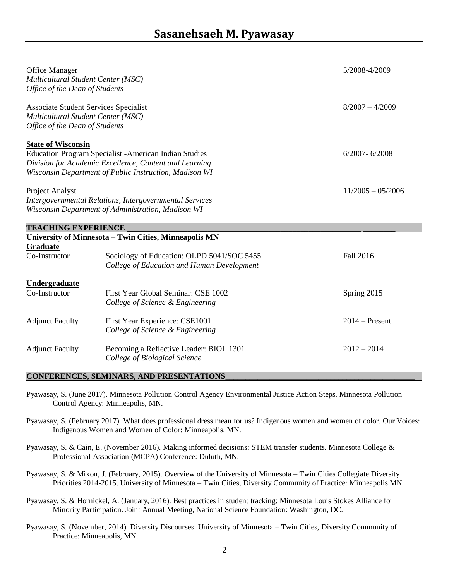| Office Manager<br>Multicultural Student Center (MSC)<br>Office of the Dean of Students                               |                                                                                                                                                                                   | 5/2008-4/2009       |
|----------------------------------------------------------------------------------------------------------------------|-----------------------------------------------------------------------------------------------------------------------------------------------------------------------------------|---------------------|
| <b>Associate Student Services Specialist</b><br>Multicultural Student Center (MSC)<br>Office of the Dean of Students |                                                                                                                                                                                   | $8/2007 - 4/2009$   |
| <b>State of Wisconsin</b>                                                                                            | <b>Education Program Specialist - American Indian Studies</b><br>Division for Academic Excellence, Content and Learning<br>Wisconsin Department of Public Instruction, Madison WI | $6/2007 - 6/2008$   |
| Project Analyst                                                                                                      | <b>Intergovernmental Relations, Intergovernmental Services</b><br>Wisconsin Department of Administration, Madison WI                                                              | $11/2005 - 05/2006$ |
| <b>TEACHING EXPERIENCE</b>                                                                                           |                                                                                                                                                                                   |                     |
| <b>Graduate</b>                                                                                                      | University of Minnesota - Twin Cities, Minneapolis MN                                                                                                                             |                     |
| Co-Instructor                                                                                                        | Sociology of Education: OLPD 5041/SOC 5455<br>College of Education and Human Development                                                                                          | <b>Fall 2016</b>    |
| <b>Undergraduate</b><br>Co-Instructor                                                                                | First Year Global Seminar: CSE 1002<br>College of Science & Engineering                                                                                                           | Spring 2015         |
| <b>Adjunct Faculty</b>                                                                                               | First Year Experience: CSE1001<br>College of Science & Engineering                                                                                                                | $2014$ – Present    |
| <b>Adjunct Faculty</b>                                                                                               | Becoming a Reflective Leader: BIOL 1301<br>College of Biological Science                                                                                                          | $2012 - 2014$       |

## **CONFERENCES, SEMINARS, AND PRESENTATIONS\_\_\_\_\_\_\_\_\_\_\_\_\_\_\_\_\_\_\_\_\_\_\_\_\_\_\_\_\_\_\_\_\_\_\_\_\_\_\_\_\_\_\_\_\_\_\_**

i

- Pyawasay, S. (June 2017). Minnesota Pollution Control Agency Environmental Justice Action Steps. Minnesota Pollution Control Agency: Minneapolis, MN.
- Pyawasay, S. (February 2017). What does professional dress mean for us? Indigenous women and women of color. Our Voices: Indigenous Women and Women of Color: Minneapolis, MN.
- Pyawasay, S. & Cain, E. (November 2016). Making informed decisions: STEM transfer students. Minnesota College & Professional Association (MCPA) Conference: Duluth, MN.
- Pyawasay, S. & Mixon, J. (February, 2015). Overview of the University of Minnesota Twin Cities Collegiate Diversity Priorities 2014-2015. University of Minnesota – Twin Cities, Diversity Community of Practice: Minneapolis MN.
- Pyawasay, S. & Hornickel, A. (January, 2016). Best practices in student tracking: Minnesota Louis Stokes Alliance for Minority Participation. Joint Annual Meeting, National Science Foundation: Washington, DC.
- Pyawasay, S. (November, 2014). Diversity Discourses. University of Minnesota Twin Cities, Diversity Community of Practice: Minneapolis, MN.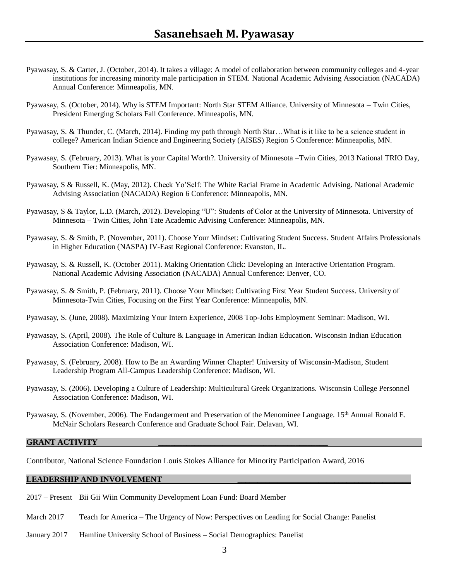- Pyawasay, S. & Carter, J. (October, 2014). It takes a village: A model of collaboration between community colleges and 4-year institutions for increasing minority male participation in STEM. National Academic Advising Association (NACADA) Annual Conference: Minneapolis, MN.
- Pyawasay, S. (October, 2014). Why is STEM Important: North Star STEM Alliance. University of Minnesota Twin Cities, President Emerging Scholars Fall Conference. Minneapolis, MN.
- Pyawasay, S. & Thunder, C. (March, 2014). Finding my path through North Star…What is it like to be a science student in college? American Indian Science and Engineering Society (AISES) Region 5 Conference: Minneapolis, MN.
- Pyawasay, S. (February, 2013). What is your Capital Worth?. University of Minnesota –Twin Cities, 2013 National TRIO Day, Southern Tier: Minneapolis, MN.
- Pyawasay, S & Russell, K. (May, 2012). Check Yo'Self: The White Racial Frame in Academic Advising. National Academic Advising Association (NACADA) Region 6 Conference: Minneapolis, MN.
- Pyawasay, S & Taylor, L.D. (March, 2012). Developing "U": Students of Color at the University of Minnesota. University of Minnesota – Twin Cities, John Tate Academic Advising Conference: Minneapolis, MN.
- Pyawasay, S. & Smith, P. (November, 2011). Choose Your Mindset: Cultivating Student Success. Student Affairs Professionals in Higher Education (NASPA) IV-East Regional Conference: Evanston, IL.
- Pyawasay, S. & Russell, K. (October 2011). Making Orientation Click: Developing an Interactive Orientation Program. National Academic Advising Association (NACADA) Annual Conference: Denver, CO.
- Pyawasay, S. & Smith, P. (February, 2011). Choose Your Mindset: Cultivating First Year Student Success. University of Minnesota-Twin Cities, Focusing on the First Year Conference: Minneapolis, MN.
- Pyawasay, S. (June, 2008). Maximizing Your Intern Experience, 2008 Top-Jobs Employment Seminar: Madison, WI.
- Pyawasay, S. (April, 2008). The Role of Culture & Language in American Indian Education. Wisconsin Indian Education Association Conference: Madison, WI.
- Pyawasay, S. (February, 2008). How to Be an Awarding Winner Chapter! University of Wisconsin-Madison, Student Leadership Program All-Campus Leadership Conference: Madison, WI.
- Pyawasay, S. (2006). Developing a Culture of Leadership: Multicultural Greek Organizations. Wisconsin College Personnel Association Conference: Madison, WI.
- Pyawasay, S. (November, 2006). The Endangerment and Preservation of the Menominee Language. 15<sup>th</sup> Annual Ronald E. McNair Scholars Research Conference and Graduate School Fair. Delavan, WI.

#### **GRANT ACTIVITY \_\_\_\_\_\_\_\_\_\_\_\_\_\_\_\_\_\_\_\_\_\_\_\_\_\_\_\_\_\_\_\_\_\_\_\_\_\_\_\_\_\_**

i

Contributor, National Science Foundation Louis Stokes Alliance for Minority Participation Award, 2016

#### LEADERSHIP AND INVOLVEMENT

- 2017 Present Bii Gii Wiin Community Development Loan Fund: Board Member
- March 2017 Teach for America The Urgency of Now: Perspectives on Leading for Social Change: Panelist
- January 2017 Hamline University School of Business Social Demographics: Panelist